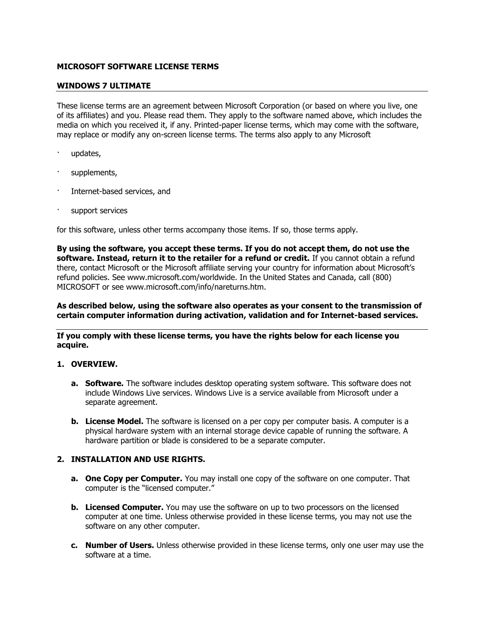#### **MICROSOFT SOFTWARE LICENSE TERMS**

#### **WINDOWS 7 ULTIMATE**

These license terms are an agreement between Microsoft Corporation (or based on where you live, one of its affiliates) and you. Please read them. They apply to the software named above, which includes the media on which you received it, if any. Printed-paper license terms, which may come with the software, may replace or modify any on-screen license terms. The terms also apply to any Microsoft

- · updates,
- supplements,
- Internet-based services, and
- support services

for this software, unless other terms accompany those items. If so, those terms apply.

**By using the software, you accept these terms. If you do not accept them, do not use the software. Instead, return it to the retailer for a refund or credit.** If you cannot obtain a refund there, contact Microsoft or the Microsoft affiliate serving your country for information about Microsoft's refund policies. See www.microsoft.com/worldwide. In the United States and Canada, call (800) MICROSOFT or see www.microsoft.com/info/nareturns.htm.

**As described below, using the software also operates as your consent to the transmission of certain computer information during activation, validation and for Internet-based services.**

**If you comply with these license terms, you have the rights below for each license you acquire.**

#### **1. OVERVIEW.**

- **a. Software.** The software includes desktop operating system software. This software does not include Windows Live services. Windows Live is a service available from Microsoft under a separate agreement.
- **b.** License Model. The software is licensed on a per copy per computer basis. A computer is a physical hardware system with an internal storage device capable of running the software. A hardware partition or blade is considered to be a separate computer.

## **2. INSTALLATION AND USE RIGHTS.**

- **a. One Copy per Computer.** You may install one copy of the software on one computer. That computer is the "licensed computer."
- **b. Licensed Computer.** You may use the software on up to two processors on the licensed computer at one time. Unless otherwise provided in these license terms, you may not use the software on any other computer.
- **c. Number of Users.** Unless otherwise provided in these license terms, only one user may use the software at a time.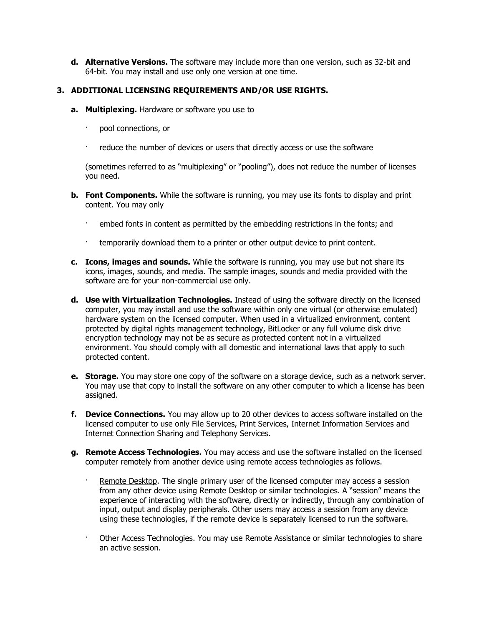**d. Alternative Versions.** The software may include more than one version, such as 32-bit and 64-bit. You may install and use only one version at one time.

#### **3. ADDITIONAL LICENSING REQUIREMENTS AND/OR USE RIGHTS.**

- **a. Multiplexing.** Hardware or software you use to
	- · pool connections, or
	- · reduce the number of devices or users that directly access or use the software

(sometimes referred to as "multiplexing" or "pooling"), does not reduce the number of licenses you need.

- **b. Font Components.** While the software is running, you may use its fonts to display and print content. You may only
	- · embed fonts in content as permitted by the embedding restrictions in the fonts; and
	- · temporarily download them to a printer or other output device to print content.
- **c. Icons, images and sounds.** While the software is running, you may use but not share its icons, images, sounds, and media. The sample images, sounds and media provided with the software are for your non-commercial use only.
- **d. Use with Virtualization Technologies.** Instead of using the software directly on the licensed computer, you may install and use the software within only one virtual (or otherwise emulated) hardware system on the licensed computer. When used in a virtualized environment, content protected by digital rights management technology, BitLocker or any full volume disk drive encryption technology may not be as secure as protected content not in a virtualized environment. You should comply with all domestic and international laws that apply to such protected content.
- **e. Storage.** You may store one copy of the software on a storage device, such as a network server. You may use that copy to install the software on any other computer to which a license has been assigned.
- **f. Device Connections.** You may allow up to 20 other devices to access software installed on the licensed computer to use only File Services, Print Services, Internet Information Services and Internet Connection Sharing and Telephony Services.
- **g. Remote Access Technologies.** You may access and use the software installed on the licensed computer remotely from another device using remote access technologies as follows.
	- Remote Desktop. The single primary user of the licensed computer may access a session from any other device using Remote Desktop or similar technologies. A "session" means the experience of interacting with the software, directly or indirectly, through any combination of input, output and display peripherals. Other users may access a session from any device using these technologies, if the remote device is separately licensed to run the software.
	- · Other Access Technologies. You may use Remote Assistance or similar technologies to share an active session.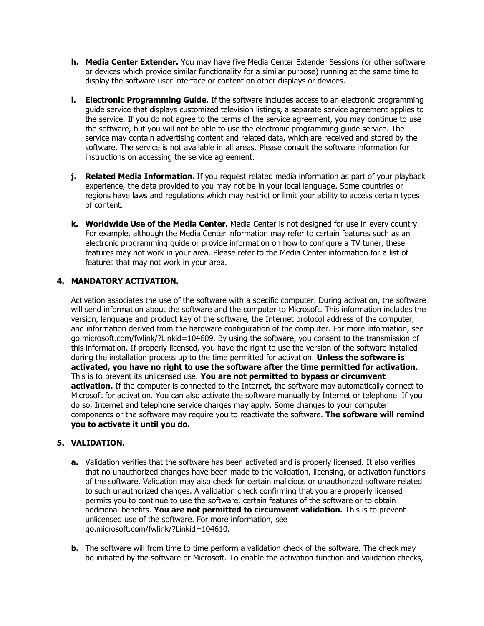- **h. Media Center Extender.** You may have five Media Center Extender Sessions (or other software or devices which provide similar functionality for a similar purpose) running at the same time to display the software user interface or content on other displays or devices.
- **i. Electronic Programming Guide.** If the software includes access to an electronic programming guide service that displays customized television listings, a separate service agreement applies to the service. If you do not agree to the terms of the service agreement, you may continue to use the software, but you will not be able to use the electronic programming guide service. The service may contain advertising content and related data, which are received and stored by the software. The service is not available in all areas. Please consult the software information for instructions on accessing the service agreement.
- **j. Related Media Information.** If you request related media information as part of your playback experience, the data provided to you may not be in your local language. Some countries or regions have laws and regulations which may restrict or limit your ability to access certain types of content.
- **k. Worldwide Use of the Media Center.** Media Center is not designed for use in every country. For example, although the Media Center information may refer to certain features such as an electronic programming guide or provide information on how to configure a TV tuner, these features may not work in your area. Please refer to the Media Center information for a list of features that may not work in your area.

## **4. MANDATORY ACTIVATION.**

Activation associates the use of the software with a specific computer. During activation, the software will send information about the software and the computer to Microsoft. This information includes the version, language and product key of the software, the Internet protocol address of the computer, and information derived from the hardware configuration of the computer. For more information, see go.microsoft.com/fwlink/?Linkid=104609. By using the software, you consent to the transmission of this information. If properly licensed, you have the right to use the version of the software installed during the installation process up to the time permitted for activation. **Unless the software is activated, you have no right to use the software after the time permitted for activation.** This is to prevent its unlicensed use. **You are not permitted to bypass or circumvent activation.** If the computer is connected to the Internet, the software may automatically connect to Microsoft for activation. You can also activate the software manually by Internet or telephone. If you do so, Internet and telephone service charges may apply. Some changes to your computer components or the software may require you to reactivate the software. **The software will remind you to activate it until you do.**

## **5. VALIDATION.**

- **a.** Validation verifies that the software has been activated and is properly licensed. It also verifies that no unauthorized changes have been made to the validation, licensing, or activation functions of the software. Validation may also check for certain malicious or unauthorized software related to such unauthorized changes. A validation check confirming that you are properly licensed permits you to continue to use the software, certain features of the software or to obtain additional benefits. **You are not permitted to circumvent validation.** This is to prevent unlicensed use of the software. For more information, see go.microsoft.com/fwlink/?Linkid=104610.
- **b.** The software will from time to time perform a validation check of the software. The check may be initiated by the software or Microsoft. To enable the activation function and validation checks,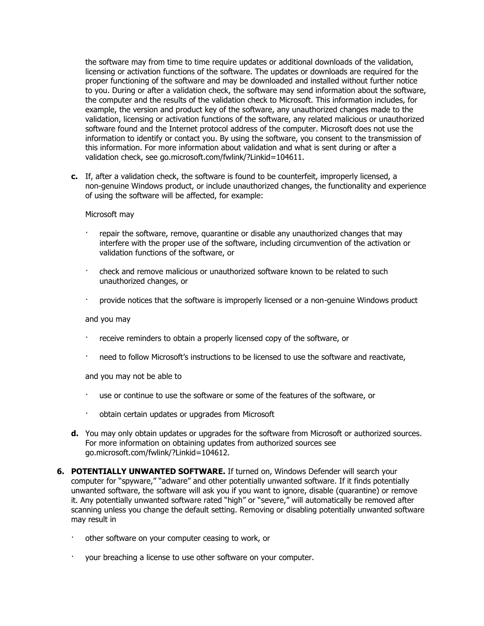the software may from time to time require updates or additional downloads of the validation, licensing or activation functions of the software. The updates or downloads are required for the proper functioning of the software and may be downloaded and installed without further notice to you. During or after a validation check, the software may send information about the software, the computer and the results of the validation check to Microsoft. This information includes, for example, the version and product key of the software, any unauthorized changes made to the validation, licensing or activation functions of the software, any related malicious or unauthorized software found and the Internet protocol address of the computer. Microsoft does not use the information to identify or contact you. By using the software, you consent to the transmission of this information. For more information about validation and what is sent during or after a validation check, see go.microsoft.com/fwlink/?Linkid=104611.

**c.** If, after a validation check, the software is found to be counterfeit, improperly licensed, a non-genuine Windows product, or include unauthorized changes, the functionality and experience of using the software will be affected, for example:

#### Microsoft may

- repair the software, remove, quarantine or disable any unauthorized changes that may interfere with the proper use of the software, including circumvention of the activation or validation functions of the software, or
- · check and remove malicious or unauthorized software known to be related to such unauthorized changes, or
- · provide notices that the software is improperly licensed or a non-genuine Windows product

and you may

- · receive reminders to obtain a properly licensed copy of the software, or
- · need to follow Microsoft's instructions to be licensed to use the software and reactivate,

and you may not be able to

- use or continue to use the software or some of the features of the software, or
- · obtain certain updates or upgrades from Microsoft
- **d.** You may only obtain updates or upgrades for the software from Microsoft or authorized sources. For more information on obtaining updates from authorized sources see go.microsoft.com/fwlink/?Linkid=104612.
- **6. POTENTIALLY UNWANTED SOFTWARE.** If turned on, Windows Defender will search your computer for "spyware," "adware" and other potentially unwanted software. If it finds potentially unwanted software, the software will ask you if you want to ignore, disable (quarantine) or remove it. Any potentially unwanted software rated "high" or "severe," will automatically be removed after scanning unless you change the default setting. Removing or disabling potentially unwanted software may result in
	- other software on your computer ceasing to work, or
	- · your breaching a license to use other software on your computer.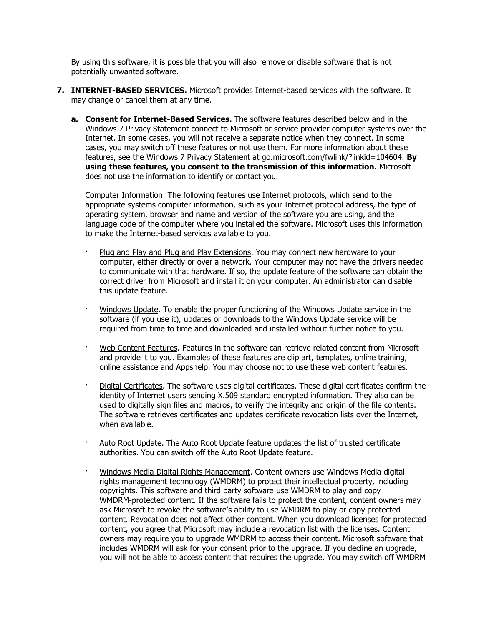By using this software, it is possible that you will also remove or disable software that is not potentially unwanted software.

- **7. INTERNET-BASED SERVICES.** Microsoft provides Internet-based services with the software. It may change or cancel them at any time.
	- **a. Consent for Internet-Based Services.** The software features described below and in the Windows 7 Privacy Statement connect to Microsoft or service provider computer systems over the Internet. In some cases, you will not receive a separate notice when they connect. In some cases, you may switch off these features or not use them. For more information about these features, see the Windows 7 Privacy Statement at go.microsoft.com/fwlink/?linkid=104604. **By using these features, you consent to the transmission of this information.** Microsoft does not use the information to identify or contact you.

Computer Information. The following features use Internet protocols, which send to the appropriate systems computer information, such as your Internet protocol address, the type of operating system, browser and name and version of the software you are using, and the language code of the computer where you installed the software. Microsoft uses this information to make the Internet-based services available to you.

- · Plug and Play and Plug and Play Extensions. You may connect new hardware to your computer, either directly or over a network. Your computer may not have the drivers needed to communicate with that hardware. If so, the update feature of the software can obtain the correct driver from Microsoft and install it on your computer. An administrator can disable this update feature.
- · Windows Update. To enable the proper functioning of the Windows Update service in the software (if you use it), updates or downloads to the Windows Update service will be required from time to time and downloaded and installed without further notice to you.
- · Web Content Features. Features in the software can retrieve related content from Microsoft and provide it to you. Examples of these features are clip art, templates, online training, online assistance and Appshelp. You may choose not to use these web content features.
- · Digital Certificates. The software uses digital certificates. These digital certificates confirm the identity of Internet users sending X.509 standard encrypted information. They also can be used to digitally sign files and macros, to verify the integrity and origin of the file contents. The software retrieves certificates and updates certificate revocation lists over the Internet, when available.
- · Auto Root Update. The Auto Root Update feature updates the list of trusted certificate authorities. You can switch off the Auto Root Update feature.
- · Windows Media Digital Rights Management. Content owners use Windows Media digital rights management technology (WMDRM) to protect their intellectual property, including copyrights. This software and third party software use WMDRM to play and copy WMDRM-protected content. If the software fails to protect the content, content owners may ask Microsoft to revoke the software's ability to use WMDRM to play or copy protected content. Revocation does not affect other content. When you download licenses for protected content, you agree that Microsoft may include a revocation list with the licenses. Content owners may require you to upgrade WMDRM to access their content. Microsoft software that includes WMDRM will ask for your consent prior to the upgrade. If you decline an upgrade, you will not be able to access content that requires the upgrade. You may switch off WMDRM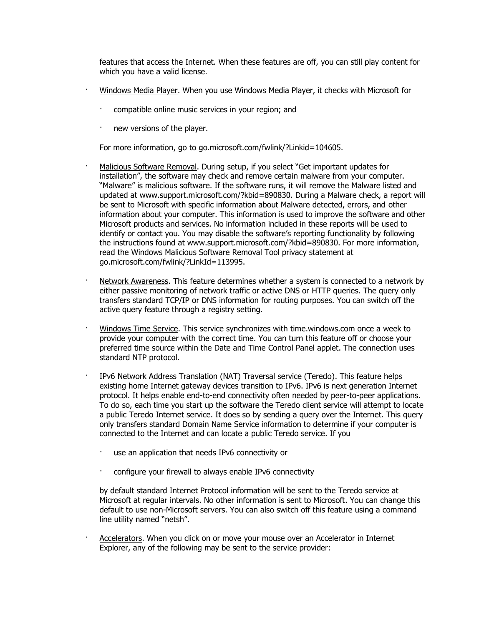features that access the Internet. When these features are off, you can still play content for which you have a valid license.

- · Windows Media Player. When you use Windows Media Player, it checks with Microsoft for
	- compatible online music services in your region; and
	- · new versions of the player.

For more information, go to go.microsoft.com/fwlink/?Linkid=104605.

- · Malicious Software Removal. During setup, if you select "Get important updates for installation", the software may check and remove certain malware from your computer. "Malware" is malicious software. If the software runs, it will remove the Malware listed and updated at www.support.microsoft.com/?kbid=890830. During a Malware check, a report will be sent to Microsoft with specific information about Malware detected, errors, and other information about your computer. This information is used to improve the software and other Microsoft products and services. No information included in these reports will be used to identify or contact you. You may disable the software's reporting functionality by following the instructions found at www.support.microsoft.com/?kbid=890830. For more information, read the Windows Malicious Software Removal Tool privacy statement at go.microsoft.com/fwlink/?LinkId=113995.
- Network Awareness. This feature determines whether a system is connected to a network by either passive monitoring of network traffic or active DNS or HTTP queries. The query only transfers standard TCP/IP or DNS information for routing purposes. You can switch off the active query feature through a registry setting.
- · Windows Time Service. This service synchronizes with time.windows.com once a week to provide your computer with the correct time. You can turn this feature off or choose your preferred time source within the Date and Time Control Panel applet. The connection uses standard NTP protocol.
- · IPv6 Network Address Translation (NAT) Traversal service (Teredo). This feature helps existing home Internet gateway devices transition to IPv6. IPv6 is next generation Internet protocol. It helps enable end-to-end connectivity often needed by peer-to-peer applications. To do so, each time you start up the software the Teredo client service will attempt to locate a public Teredo Internet service. It does so by sending a query over the Internet. This query only transfers standard Domain Name Service information to determine if your computer is connected to the Internet and can locate a public Teredo service. If you
	- use an application that needs IPv6 connectivity or
	- · configure your firewall to always enable IPv6 connectivity

by default standard Internet Protocol information will be sent to the Teredo service at Microsoft at regular intervals. No other information is sent to Microsoft. You can change this default to use non-Microsoft servers. You can also switch off this feature using a command line utility named "netsh".

· Accelerators. When you click on or move your mouse over an Accelerator in Internet Explorer, any of the following may be sent to the service provider: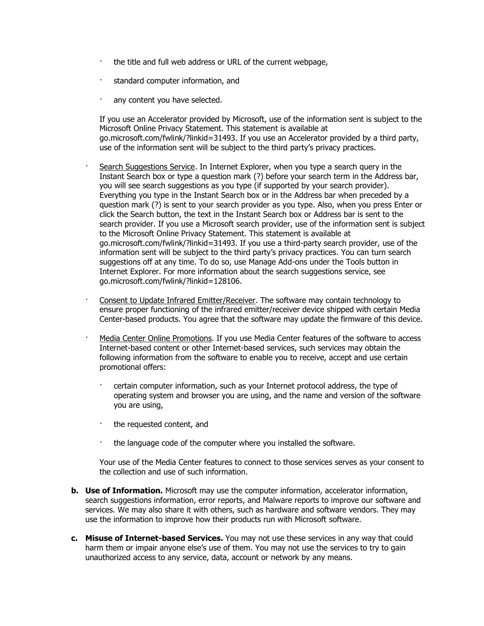- · the title and full web address or URL of the current webpage,
- standard computer information, and
- any content you have selected.

If you use an Accelerator provided by Microsoft, use of the information sent is subject to the Microsoft Online Privacy Statement. This statement is available at go.microsoft.com/fwlink/?linkid=31493. If you use an Accelerator provided by a third party, use of the information sent will be subject to the third party's privacy practices.

- Search Suggestions Service. In Internet Explorer, when you type a search query in the Instant Search box or type a question mark (?) before your search term in the Address bar, you will see search suggestions as you type (if supported by your search provider). Everything you type in the Instant Search box or in the Address bar when preceded by a question mark (?) is sent to your search provider as you type. Also, when you press Enter or click the Search button, the text in the Instant Search box or Address bar is sent to the search provider. If you use a Microsoft search provider, use of the information sent is subject to the Microsoft Online Privacy Statement. This statement is available at go.microsoft.com/fwlink/?linkid=31493. If you use a third-party search provider, use of the information sent will be subject to the third party's privacy practices. You can turn search suggestions off at any time. To do so, use Manage Add-ons under the Tools button in Internet Explorer. For more information about the search suggestions service, see go.microsoft.com/fwlink/?linkid=128106.
- · Consent to Update Infrared Emitter/Receiver. The software may contain technology to ensure proper functioning of the infrared emitter/receiver device shipped with certain Media Center-based products. You agree that the software may update the firmware of this device.
- Media Center Online Promotions. If you use Media Center features of the software to access Internet-based content or other Internet-based services, such services may obtain the following information from the software to enable you to receive, accept and use certain promotional offers:
	- · certain computer information, such as your Internet protocol address, the type of operating system and browser you are using, and the name and version of the software you are using,
	- · the requested content, and
	- the language code of the computer where you installed the software.

Your use of the Media Center features to connect to those services serves as your consent to the collection and use of such information.

- **b. Use of Information.** Microsoft may use the computer information, accelerator information, search suggestions information, error reports, and Malware reports to improve our software and services. We may also share it with others, such as hardware and software vendors. They may use the information to improve how their products run with Microsoft software.
- **c. Misuse of Internet-based Services.** You may not use these services in any way that could harm them or impair anyone else's use of them. You may not use the services to try to gain unauthorized access to any service, data, account or network by any means.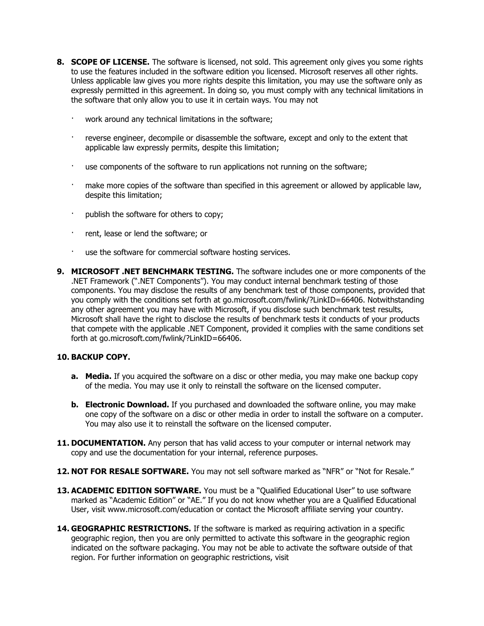- **8. SCOPE OF LICENSE.** The software is licensed, not sold. This agreement only gives you some rights to use the features included in the software edition you licensed. Microsoft reserves all other rights. Unless applicable law gives you more rights despite this limitation, you may use the software only as expressly permitted in this agreement. In doing so, you must comply with any technical limitations in the software that only allow you to use it in certain ways. You may not
	- work around any technical limitations in the software;
	- reverse engineer, decompile or disassemble the software, except and only to the extent that applicable law expressly permits, despite this limitation;
	- use components of the software to run applications not running on the software;
	- · make more copies of the software than specified in this agreement or allowed by applicable law, despite this limitation;
	- · publish the software for others to copy;
	- · rent, lease or lend the software; or
	- · use the software for commercial software hosting services.
- **9. MICROSOFT .NET BENCHMARK TESTING.** The software includes one or more components of the .NET Framework (".NET Components"). You may conduct internal benchmark testing of those components. You may disclose the results of any benchmark test of those components, provided that you comply with the conditions set forth at go.microsoft.com/fwlink/?LinkID=66406. Notwithstanding any other agreement you may have with Microsoft, if you disclose such benchmark test results, Microsoft shall have the right to disclose the results of benchmark tests it conducts of your products that compete with the applicable .NET Component, provided it complies with the same conditions set forth at go.microsoft.com/fwlink/?LinkID=66406.

## **10. BACKUP COPY.**

- **a.** Media. If you acquired the software on a disc or other media, you may make one backup copy of the media. You may use it only to reinstall the software on the licensed computer.
- **b. Electronic Download.** If you purchased and downloaded the software online, you may make one copy of the software on a disc or other media in order to install the software on a computer. You may also use it to reinstall the software on the licensed computer.
- 11. **DOCUMENTATION.** Any person that has valid access to your computer or internal network may copy and use the documentation for your internal, reference purposes.
- **12. NOT FOR RESALE SOFTWARE.** You may not sell software marked as "NFR" or "Not for Resale."
- 13. ACADEMIC EDITION SOFTWARE. You must be a "Qualified Educational User" to use software marked as "Academic Edition" or "AE." If you do not know whether you are a Qualified Educational User, visit www.microsoft.com/education or contact the Microsoft affiliate serving your country.
- **14. GEOGRAPHIC RESTRICTIONS.** If the software is marked as requiring activation in a specific geographic region, then you are only permitted to activate this software in the geographic region indicated on the software packaging. You may not be able to activate the software outside of that region. For further information on geographic restrictions, visit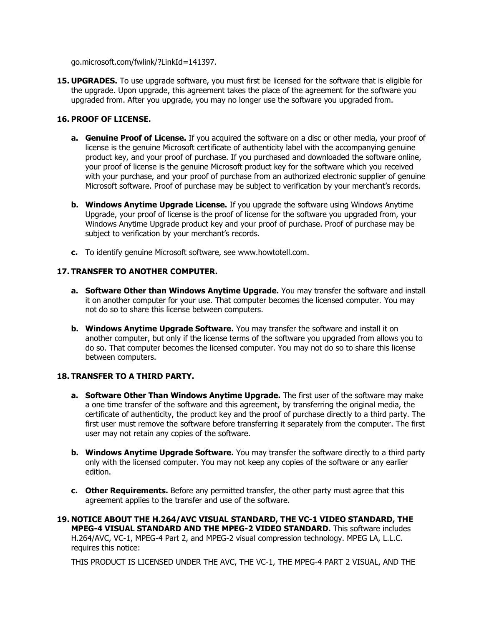go.microsoft.com/fwlink/?LinkId=141397.

**15. UPGRADES.** To use upgrade software, you must first be licensed for the software that is eligible for the upgrade. Upon upgrade, this agreement takes the place of the agreement for the software you upgraded from. After you upgrade, you may no longer use the software you upgraded from.

# **16. PROOF OF LICENSE.**

- **a. Genuine Proof of License.** If you acquired the software on a disc or other media, your proof of license is the genuine Microsoft certificate of authenticity label with the accompanying genuine product key, and your proof of purchase. If you purchased and downloaded the software online, your proof of license is the genuine Microsoft product key for the software which you received with your purchase, and your proof of purchase from an authorized electronic supplier of genuine Microsoft software. Proof of purchase may be subject to verification by your merchant's records.
- **b. Windows Anytime Upgrade License.** If you upgrade the software using Windows Anytime Upgrade, your proof of license is the proof of license for the software you upgraded from, your Windows Anytime Upgrade product key and your proof of purchase. Proof of purchase may be subject to verification by your merchant's records.
- **c.** To identify genuine Microsoft software, see www.howtotell.com.

# **17. TRANSFER TO ANOTHER COMPUTER.**

- **a. Software Other than Windows Anytime Upgrade.** You may transfer the software and install it on another computer for your use. That computer becomes the licensed computer. You may not do so to share this license between computers.
- **b. Windows Anytime Upgrade Software.** You may transfer the software and install it on another computer, but only if the license terms of the software you upgraded from allows you to do so. That computer becomes the licensed computer. You may not do so to share this license between computers.

# **18. TRANSFER TO A THIRD PARTY.**

- **a. Software Other Than Windows Anytime Upgrade.** The first user of the software may make a one time transfer of the software and this agreement, by transferring the original media, the certificate of authenticity, the product key and the proof of purchase directly to a third party. The first user must remove the software before transferring it separately from the computer. The first user may not retain any copies of the software.
- **b. Windows Anytime Upgrade Software.** You may transfer the software directly to a third party only with the licensed computer. You may not keep any copies of the software or any earlier edition.
- **c. Other Requirements.** Before any permitted transfer, the other party must agree that this agreement applies to the transfer and use of the software.

**19. NOTICE ABOUT THE H.264/AVC VISUAL STANDARD, THE VC-1 VIDEO STANDARD, THE MPEG-4 VISUAL STANDARD AND THE MPEG-2 VIDEO STANDARD.** This software includes H.264/AVC, VC-1, MPEG-4 Part 2, and MPEG-2 visual compression technology. MPEG LA, L.L.C. requires this notice:

THIS PRODUCT IS LICENSED UNDER THE AVC, THE VC-1, THE MPEG-4 PART 2 VISUAL, AND THE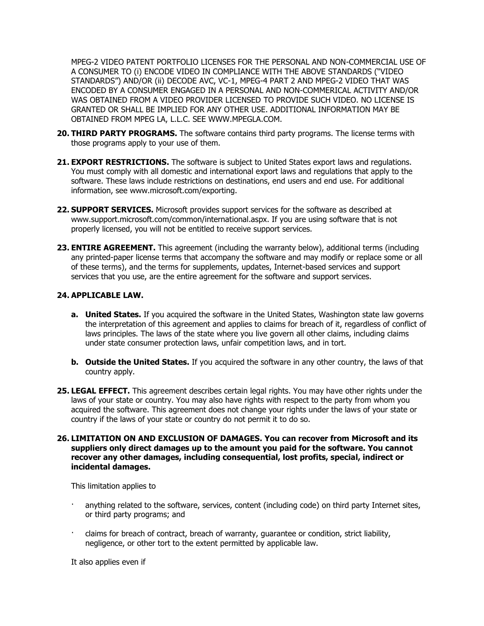MPEG-2 VIDEO PATENT PORTFOLIO LICENSES FOR THE PERSONAL AND NON-COMMERCIAL USE OF A CONSUMER TO (i) ENCODE VIDEO IN COMPLIANCE WITH THE ABOVE STANDARDS ("VIDEO STANDARDS") AND/OR (ii) DECODE AVC, VC-1, MPEG-4 PART 2 AND MPEG-2 VIDEO THAT WAS ENCODED BY A CONSUMER ENGAGED IN A PERSONAL AND NON-COMMERICAL ACTIVITY AND/OR WAS OBTAINED FROM A VIDEO PROVIDER LICENSED TO PROVIDE SUCH VIDEO. NO LICENSE IS GRANTED OR SHALL BE IMPLIED FOR ANY OTHER USE. ADDITIONAL INFORMATION MAY BE OBTAINED FROM MPEG LA, L.L.C. SEE WWW.MPEGLA.COM.

- **20. THIRD PARTY PROGRAMS.** The software contains third party programs. The license terms with those programs apply to your use of them.
- 21. **EXPORT RESTRICTIONS.** The software is subject to United States export laws and regulations. You must comply with all domestic and international export laws and regulations that apply to the software. These laws include restrictions on destinations, end users and end use. For additional information, see www.microsoft.com/exporting.
- **22. SUPPORT SERVICES.** Microsoft provides support services for the software as described at www.support.microsoft.com/common/international.aspx. If you are using software that is not properly licensed, you will not be entitled to receive support services.
- **23. ENTIRE AGREEMENT.** This agreement (including the warranty below), additional terms (including any printed-paper license terms that accompany the software and may modify or replace some or all of these terms), and the terms for supplements, updates, Internet-based services and support services that you use, are the entire agreement for the software and support services.

## **24. APPLICABLE LAW.**

- **a. United States.** If you acquired the software in the United States, Washington state law governs the interpretation of this agreement and applies to claims for breach of it, regardless of conflict of laws principles. The laws of the state where you live govern all other claims, including claims under state consumer protection laws, unfair competition laws, and in tort.
- **b. Outside the United States.** If you acquired the software in any other country, the laws of that country apply.
- **25. LEGAL EFFECT.** This agreement describes certain legal rights. You may have other rights under the laws of your state or country. You may also have rights with respect to the party from whom you acquired the software. This agreement does not change your rights under the laws of your state or country if the laws of your state or country do not permit it to do so.

## **26. LIMITATION ON AND EXCLUSION OF DAMAGES. You can recover from Microsoft and its suppliers only direct damages up to the amount you paid for the software. You cannot recover any other damages, including consequential, lost profits, special, indirect or incidental damages.**

This limitation applies to

- anything related to the software, services, content (including code) on third party Internet sites, or third party programs; and
- · claims for breach of contract, breach of warranty, guarantee or condition, strict liability, negligence, or other tort to the extent permitted by applicable law.

It also applies even if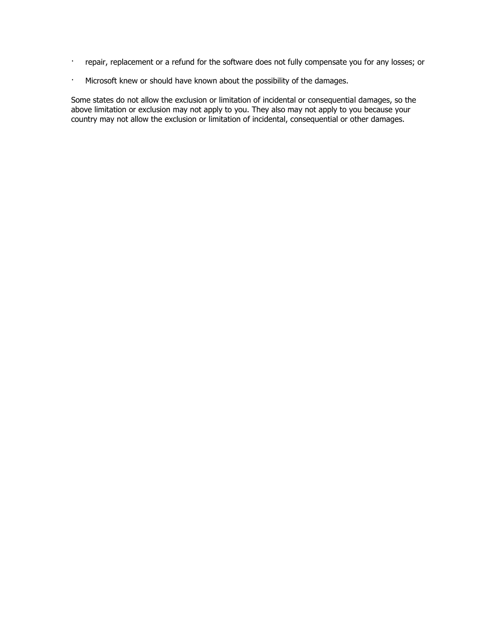- · repair, replacement or a refund for the software does not fully compensate you for any losses; or
- · Microsoft knew or should have known about the possibility of the damages.

Some states do not allow the exclusion or limitation of incidental or consequential damages, so the above limitation or exclusion may not apply to you. They also may not apply to you because your country may not allow the exclusion or limitation of incidental, consequential or other damages.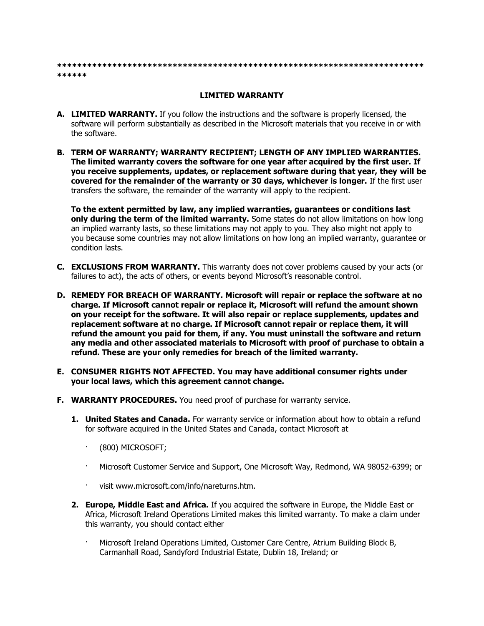**\*\*\*\*\*\*\*\*\*\*\*\*\*\*\*\*\*\*\*\*\*\*\*\*\*\*\*\*\*\*\*\*\*\*\*\*\*\*\*\*\*\*\*\*\*\*\*\*\*\*\*\*\*\*\*\*\*\*\*\*\*\*\*\*\*\*\*\*\*\*\*\*\* \*\*\*\*\*\***

#### **LIMITED WARRANTY**

- **A. LIMITED WARRANTY.** If you follow the instructions and the software is properly licensed, the software will perform substantially as described in the Microsoft materials that you receive in or with the software.
- **B. TERM OF WARRANTY; WARRANTY RECIPIENT; LENGTH OF ANY IMPLIED WARRANTIES. The limited warranty covers the software for one year after acquired by the first user. If you receive supplements, updates, or replacement software during that year, they will be covered for the remainder of the warranty or 30 days, whichever is longer.** If the first user transfers the software, the remainder of the warranty will apply to the recipient.

**To the extent permitted by law, any implied warranties, guarantees or conditions last only during the term of the limited warranty.** Some states do not allow limitations on how long an implied warranty lasts, so these limitations may not apply to you. They also might not apply to you because some countries may not allow limitations on how long an implied warranty, guarantee or condition lasts.

- **C. EXCLUSIONS FROM WARRANTY.** This warranty does not cover problems caused by your acts (or failures to act), the acts of others, or events beyond Microsoft's reasonable control.
- **D. REMEDY FOR BREACH OF WARRANTY. Microsoft will repair or replace the software at no charge. If Microsoft cannot repair or replace it, Microsoft will refund the amount shown on your receipt for the software. It will also repair or replace supplements, updates and replacement software at no charge. If Microsoft cannot repair or replace them, it will refund the amount you paid for them, if any. You must uninstall the software and return any media and other associated materials to Microsoft with proof of purchase to obtain a refund. These are your only remedies for breach of the limited warranty.**
- **E. CONSUMER RIGHTS NOT AFFECTED. You may have additional consumer rights under your local laws, which this agreement cannot change.**
- **F. WARRANTY PROCEDURES.** You need proof of purchase for warranty service.
	- **1. United States and Canada.** For warranty service or information about how to obtain a refund for software acquired in the United States and Canada, contact Microsoft at
		- · (800) MICROSOFT;
		- · Microsoft Customer Service and Support, One Microsoft Way, Redmond, WA 98052-6399; or
		- · visit www.microsoft.com/info/nareturns.htm.
	- **2. Europe, Middle East and Africa.** If you acquired the software in Europe, the Middle East or Africa, Microsoft Ireland Operations Limited makes this limited warranty. To make a claim under this warranty, you should contact either
		- Microsoft Ireland Operations Limited, Customer Care Centre, Atrium Building Block B, Carmanhall Road, Sandyford Industrial Estate, Dublin 18, Ireland; or